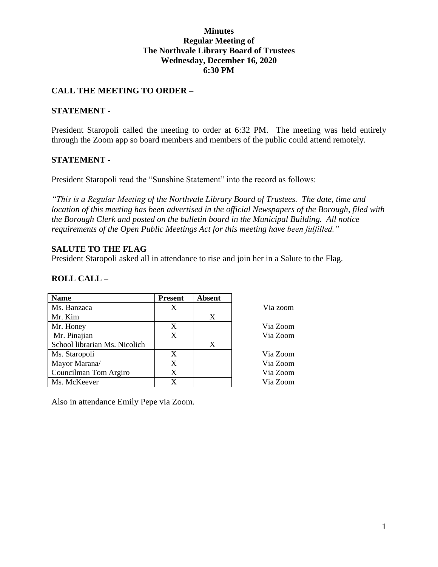### **Minutes Regular Meeting of The Northvale Library Board of Trustees Wednesday, December 16, 2020 6:30 PM**

### **CALL THE MEETING TO ORDER –**

### **STATEMENT -**

President Staropoli called the meeting to order at 6:32 PM. The meeting was held entirely through the Zoom app so board members and members of the public could attend remotely.

### **STATEMENT -**

President Staropoli read the "Sunshine Statement" into the record as follows:

*"This is a Regular Meeting of the Northvale Library Board of Trustees. The date, time and location of this meeting has been advertised in the official Newspapers of the Borough, filed with the Borough Clerk and posted on the bulletin board in the Municipal Building. All notice requirements of the Open Public Meetings Act for this meeting have been fulfilled."* 

### **SALUTE TO THE FLAG**

President Staropoli asked all in attendance to rise and join her in a Salute to the Flag.

### **ROLL CALL –**

| <b>Name</b>                   | <b>Present</b> | <b>Absent</b> |          |
|-------------------------------|----------------|---------------|----------|
| Ms. Banzaca                   | Χ              |               | Via zoom |
| Mr. Kim                       |                | X             |          |
| Mr. Honey                     | X              |               | Via Zoom |
| Mr. Pinajian                  | X              |               | Via Zoom |
| School librarian Ms. Nicolich |                | X             |          |
| Ms. Staropoli                 | X              |               | Via Zoom |
| Mayor Marana/                 | X              |               | Via Zoom |
| Councilman Tom Argiro         | X              |               | Via Zoom |
| Ms. McKeever                  | X              |               | Via Zoom |

Also in attendance Emily Pepe via Zoom.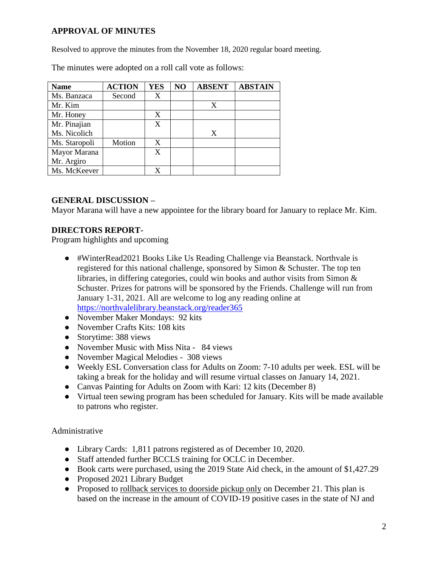# **APPROVAL OF MINUTES**

Resolved to approve the minutes from the November 18, 2020 regular board meeting.

| <b>Name</b>   | <b>ACTION</b> | <b>YES</b> | NO | <b>ABSENT</b> | <b>ABSTAIN</b> |
|---------------|---------------|------------|----|---------------|----------------|
| Ms. Banzaca   | Second        | X          |    |               |                |
| Mr. Kim       |               |            |    | X             |                |
| Mr. Honey     |               | X          |    |               |                |
| Mr. Pinajian  |               | X          |    |               |                |
| Ms. Nicolich  |               |            |    | X             |                |
| Ms. Staropoli | Motion        | X          |    |               |                |
| Mayor Marana  |               | X          |    |               |                |
| Mr. Argiro    |               |            |    |               |                |
| Ms. McKeever  |               | X          |    |               |                |

The minutes were adopted on a roll call vote as follows:

## **GENERAL DISCUSSION –**

Mayor Marana will have a new appointee for the library board for January to replace Mr. Kim.

## **DIRECTORS REPORT-**

Program highlights and upcoming

- #WinterRead2021 Books Like Us Reading Challenge via Beanstack. Northvale is registered for this national challenge, sponsored by Simon & Schuster. The top ten libraries, in differing categories, could win books and author visits from Simon  $\&$ Schuster. Prizes for patrons will be sponsored by the Friends. Challenge will run from January 1-31, 2021. All are welcome to log any reading online a[t](https://northvalelibrary.beanstack.org/reader365) <https://northvalelibrary.beanstack.org/reader365>
- November Maker Mondays: 92 kits
- November Crafts Kits: 108 kits
- Storytime: 388 views
- November Music with Miss Nita 84 views
- November Magical Melodies 308 views
- Weekly ESL Conversation class for Adults on Zoom: 7-10 adults per week. ESL will be taking a break for the holiday and will resume virtual classes on January 14, 2021.
- Canvas Painting for Adults on Zoom with Kari: 12 kits (December 8)
- Virtual teen sewing program has been scheduled for January. Kits will be made available to patrons who register.

Administrative

- Library Cards: 1,811 patrons registered as of December 10, 2020.
- Staff attended further BCCLS training for OCLC in December.
- Book carts were purchased, using the 2019 State Aid check, in the amount of \$1,427.29
- Proposed 2021 Library Budget
- Proposed to rollback services to doorside pickup only on December 21. This plan is based on the increase in the amount of COVID-19 positive cases in the state of NJ and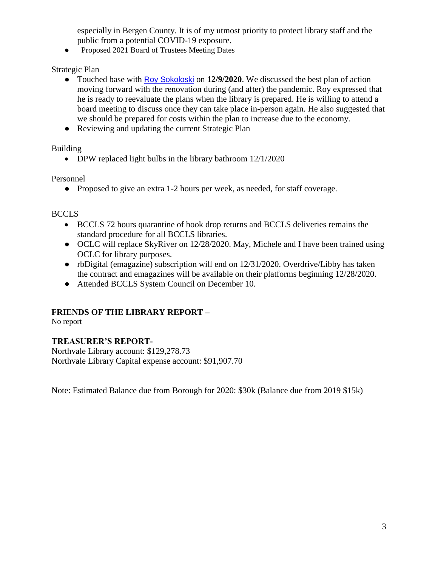especially in Bergen County. It is of my utmost priority to protect library staff and the public from a potential COVID-19 exposure.

Proposed 2021 Board of Trustees Meeting Dates

Strategic Plan

- Touched base with [Roy Sokoloski](mailto:roy@alsaarchitecture.com) on **12/9/2020**. We discussed the best plan of action moving forward with the renovation during (and after) the pandemic. Roy expressed that he is ready to reevaluate the plans when the library is prepared. He is willing to attend a board meeting to discuss once they can take place in-person again. He also suggested that we should be prepared for costs within the plan to increase due to the economy.
- Reviewing and updating the current Strategic Plan

Building

• DPW replaced light bulbs in the library bathroom  $12/1/2020$ 

Personnel

● Proposed to give an extra 1-2 hours per week, as needed, for staff coverage.

## **BCCLS**

- BCCLS 72 hours quarantine of book drop returns and BCCLS deliveries remains the standard procedure for all BCCLS libraries.
- OCLC will replace SkyRiver on 12/28/2020. May, Michele and I have been trained using OCLC for library purposes.
- rbDigital (emagazine) subscription will end on 12/31/2020. Overdrive/Libby has taken the contract and emagazines will be available on their platforms beginning 12/28/2020.
- Attended BCCLS System Council on December 10.

# **FRIENDS OF THE LIBRARY REPORT –**

No report

# **TREASURER'S REPORT-**

Northvale Library account: \$129,278.73 Northvale Library Capital expense account: \$91,907.70

Note: Estimated Balance due from Borough for 2020: \$30k (Balance due from 2019 \$15k)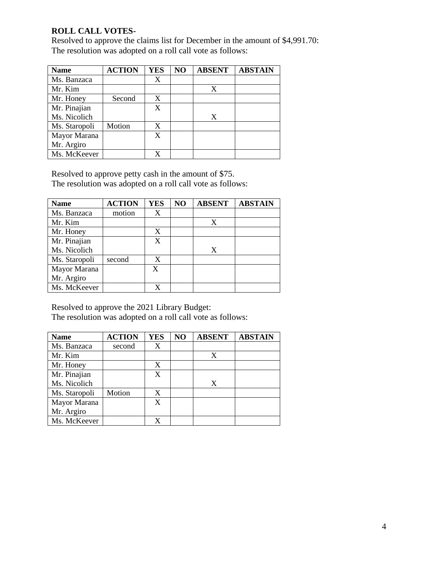### **ROLL CALL VOTES-**

Resolved to approve the claims list for December in the amount of \$4,991.70: The resolution was adopted on a roll call vote as follows:

| <b>Name</b>   | <b>ACTION</b> | <b>YES</b> | NO | <b>ABSENT</b> | <b>ABSTAIN</b> |
|---------------|---------------|------------|----|---------------|----------------|
| Ms. Banzaca   |               | X          |    |               |                |
| Mr. Kim       |               |            |    | X             |                |
| Mr. Honey     | Second        | X          |    |               |                |
| Mr. Pinajian  |               | X          |    |               |                |
| Ms. Nicolich  |               |            |    | X             |                |
| Ms. Staropoli | Motion        | X          |    |               |                |
| Mayor Marana  |               | X          |    |               |                |
| Mr. Argiro    |               |            |    |               |                |
| Ms. McKeever  |               |            |    |               |                |

Resolved to approve petty cash in the amount of \$75.

The resolution was adopted on a roll call vote as follows:

| <b>Name</b>   | <b>ACTION</b> | <b>YES</b> | N <sub>O</sub> | <b>ABSENT</b> | <b>ABSTAIN</b> |
|---------------|---------------|------------|----------------|---------------|----------------|
| Ms. Banzaca   | motion        |            |                |               |                |
| Mr. Kim       |               |            |                | X             |                |
| Mr. Honey     |               | X          |                |               |                |
| Mr. Pinajian  |               | X          |                |               |                |
| Ms. Nicolich  |               |            |                | X             |                |
| Ms. Staropoli | second        | X          |                |               |                |
| Mayor Marana  |               | X          |                |               |                |
| Mr. Argiro    |               |            |                |               |                |
| Ms. McKeever  |               |            |                |               |                |

Resolved to approve the 2021 Library Budget:

The resolution was adopted on a roll call vote as follows:

| <b>Name</b>   | <b>ACTION</b> | <b>YES</b> | NO | <b>ABSENT</b> | <b>ABSTAIN</b> |
|---------------|---------------|------------|----|---------------|----------------|
| Ms. Banzaca   | second        | X          |    |               |                |
| Mr. Kim       |               |            |    | X             |                |
| Mr. Honey     |               | X          |    |               |                |
| Mr. Pinajian  |               | X          |    |               |                |
| Ms. Nicolich  |               |            |    | X             |                |
| Ms. Staropoli | Motion        | X          |    |               |                |
| Mayor Marana  |               | X          |    |               |                |
| Mr. Argiro    |               |            |    |               |                |
| Ms. McKeever  |               |            |    |               |                |